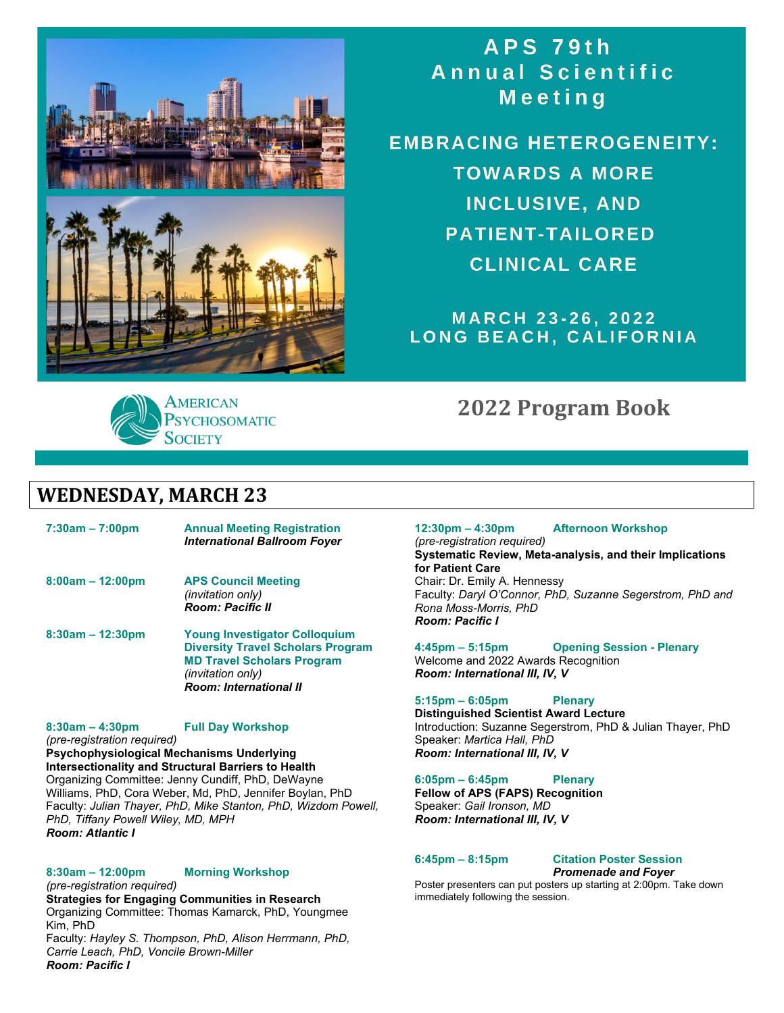



**EMBRACING HETEROGENEITY: TOWARDS A MORE INCLUSIVE, AND PATIENT-TAILORED CLINICAL CARE** 

**MARCH 23-26, 2022** LONG BEACH, CALIFORNIA

# **2022 Program Book**

# **WEDNESDAY, MARCH 23**

**7:30am – 7:00pm Annual Meeting Registration** *International Ballroom Foyer* **8:00am – 12:00pm APS Council Meeting** *(invitation only) Room: Pacific II* **8:30am – 12:30pm Young Investigator Colloquium Diversity Travel Scholars Program**

**PSYCHOSOMATIC** 

**SOCIETY** 

**MD Travel Scholars Program** *(invitation only) Room: International II*

#### **8:30am – 4:30pm Full Day Workshop**

*(pre-registration required)*

**Psychophysiological Mechanisms Underlying Intersectionality and Structural Barriers to Health** Organizing Committee: Jenny Cundiff, PhD, DeWayne Williams, PhD, Cora Weber, Md, PhD, Jennifer Boylan, PhD Faculty: *Julian Thayer, PhD, Mike Stanton, PhD, Wizdom Powell, PhD, Tiffany Powell Wiley, MD, MPH Room: Atlantic I*

### **8:30am – 12:00pm Morning Workshop**

*(pre-registration required)* **Strategies for Engaging Communities in Research**  Organizing Committee: Thomas Kamarck, PhD, Youngmee Kim, PhD

Faculty: *Hayley S. Thompson, PhD, Alison Herrmann, PhD, Carrie Leach, PhD, Voncile Brown-Miller Room: Pacific I*

## **12:30pm – 4:30pm Afternoon Workshop**

*(pre-registration required)* **Systematic Review, Meta-analysis, and their Implications for Patient Care**  Chair: Dr. Emily A. Hennessy Faculty: *Daryl O'Connor, PhD, Suzanne Segerstrom, PhD and Rona Moss-Morris, PhD*

*Room: Pacific I*

**4:45pm – 5:15pm Opening Session - Plenary** Welcome and 2022 Awards Recognition *Room: International III, IV, V*

### **5:15pm – 6:05pm Plenary**

**Distinguished Scientist Award Lecture** Introduction: Suzanne Segerstrom, PhD & Julian Thayer, PhD Speaker: *Martica Hall, PhD Room: International III, IV, V*

#### **6:05pm – 6:45pm Plenary**

**Fellow of APS (FAPS) Recognition** Speaker: *Gail Ironson, MD Room: International III, IV, V*

**6:45pm – 8:15pm Citation Poster Session** *Promenade and Foyer*

Poster presenters can put posters up starting at 2:00pm. Take down immediately following the session.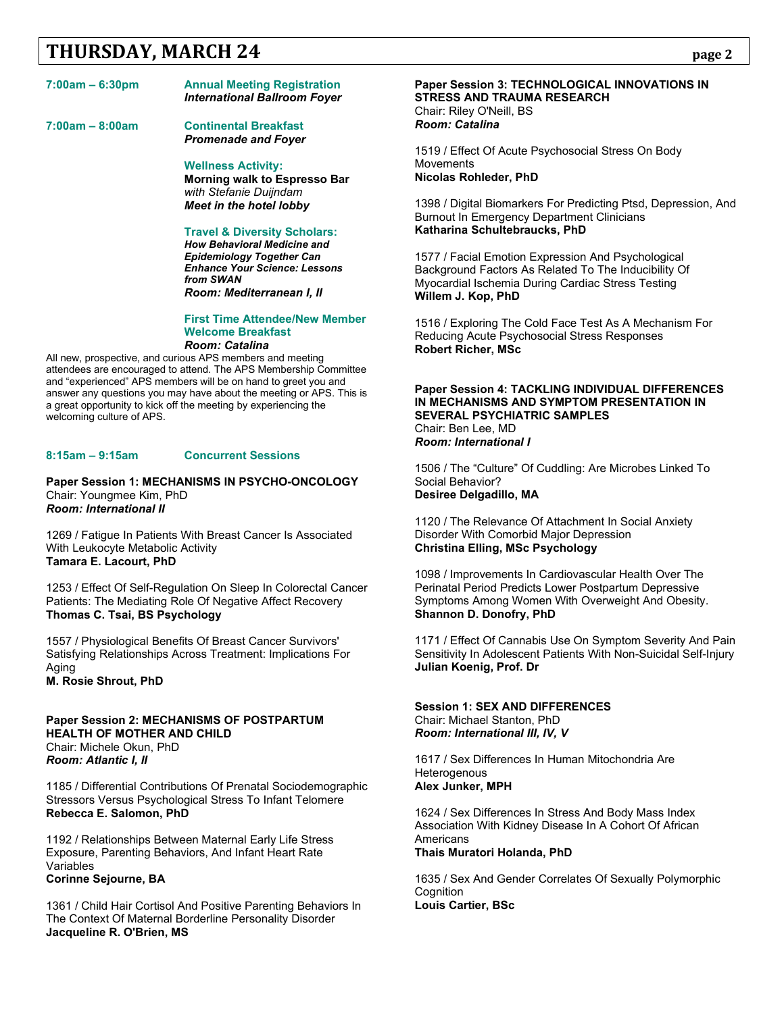# **THURSDAY, MARCH 24** page 2

### **7:00am – 6:30pm Annual Meeting Registration**

*International Ballroom Foyer*

**7:00am – 8:00am Continental Breakfast**  *Promenade and Foyer*

> **Wellness Activity: Morning walk to Espresso Bar** *with Stefanie Duijndam Meet in the hotel lobby*

### **Travel & Diversity Scholars:**

*How Behavioral Medicine and Epidemiology Together Can Enhance Your Science: Lessons from SWAN Room: Mediterranean I, II*

#### **First Time Attendee/New Member Welcome Breakfast** *Room: Catalina*

All new, prospective, and curious APS members and meeting attendees are encouraged to attend. The APS Membership Committee and "experienced" APS members will be on hand to greet you and answer any questions you may have about the meeting or APS. This is a great opportunity to kick off the meeting by experiencing the welcoming culture of APS.

### **8:15am – 9:15am Concurrent Sessions**

**Paper Session 1: MECHANISMS IN PSYCHO-ONCOLOGY** Chair: Youngmee Kim, PhD *Room: International II*

1269 / Fatigue In Patients With Breast Cancer Is Associated With Leukocyte Metabolic Activity **Tamara E. Lacourt, PhD**

1253 / Effect Of Self-Regulation On Sleep In Colorectal Cancer Patients: The Mediating Role Of Negative Affect Recovery **Thomas C. Tsai, BS Psychology**

1557 / Physiological Benefits Of Breast Cancer Survivors' Satisfying Relationships Across Treatment: Implications For Aging

**M. Rosie Shrout, PhD**

### **Paper Session 2: MECHANISMS OF POSTPARTUM HEALTH OF MOTHER AND CHILD** Chair: Michele Okun, PhD *Room: Atlantic I, II*

1185 / Differential Contributions Of Prenatal Sociodemographic Stressors Versus Psychological Stress To Infant Telomere **Rebecca E. Salomon, PhD**

1192 / Relationships Between Maternal Early Life Stress Exposure, Parenting Behaviors, And Infant Heart Rate Variables **Corinne Sejourne, BA**

1361 / Child Hair Cortisol And Positive Parenting Behaviors In The Context Of Maternal Borderline Personality Disorder **Jacqueline R. O'Brien, MS**

#### **Paper Session 3: TECHNOLOGICAL INNOVATIONS IN STRESS AND TRAUMA RESEARCH** Chair: Riley O'Neill, BS *Room: Catalina*

1519 / Effect Of Acute Psychosocial Stress On Body **Movements Nicolas Rohleder, PhD**

1398 / Digital Biomarkers For Predicting Ptsd, Depression, And Burnout In Emergency Department Clinicians **Katharina Schultebraucks, PhD**

1577 / Facial Emotion Expression And Psychological Background Factors As Related To The Inducibility Of Myocardial Ischemia During Cardiac Stress Testing **Willem J. Kop, PhD**

1516 / Exploring The Cold Face Test As A Mechanism For Reducing Acute Psychosocial Stress Responses **Robert Richer, MSc**

#### **Paper Session 4: TACKLING INDIVIDUAL DIFFERENCES IN MECHANISMS AND SYMPTOM PRESENTATION IN SEVERAL PSYCHIATRIC SAMPLES** Chair: Ben Lee, MD *Room: International I*

1506 / The "Culture" Of Cuddling: Are Microbes Linked To Social Behavior? **Desiree Delgadillo, MA**

1120 / The Relevance Of Attachment In Social Anxiety Disorder With Comorbid Major Depression **Christina Elling, MSc Psychology**

1098 / Improvements In Cardiovascular Health Over The Perinatal Period Predicts Lower Postpartum Depressive Symptoms Among Women With Overweight And Obesity. **Shannon D. Donofry, PhD**

1171 / Effect Of Cannabis Use On Symptom Severity And Pain Sensitivity In Adolescent Patients With Non-Suicidal Self-Injury **Julian Koenig, Prof. Dr**

**Session 1: SEX AND DIFFERENCES** Chair: Michael Stanton, PhD *Room: International III, IV, V*

1617 / Sex Differences In Human Mitochondria Are **Heterogenous Alex Junker, MPH**

1624 / Sex Differences In Stress And Body Mass Index Association With Kidney Disease In A Cohort Of African **Americans** 

**Thais Muratori Holanda, PhD**

1635 / Sex And Gender Correlates Of Sexually Polymorphic **Cognition Louis Cartier, BSc**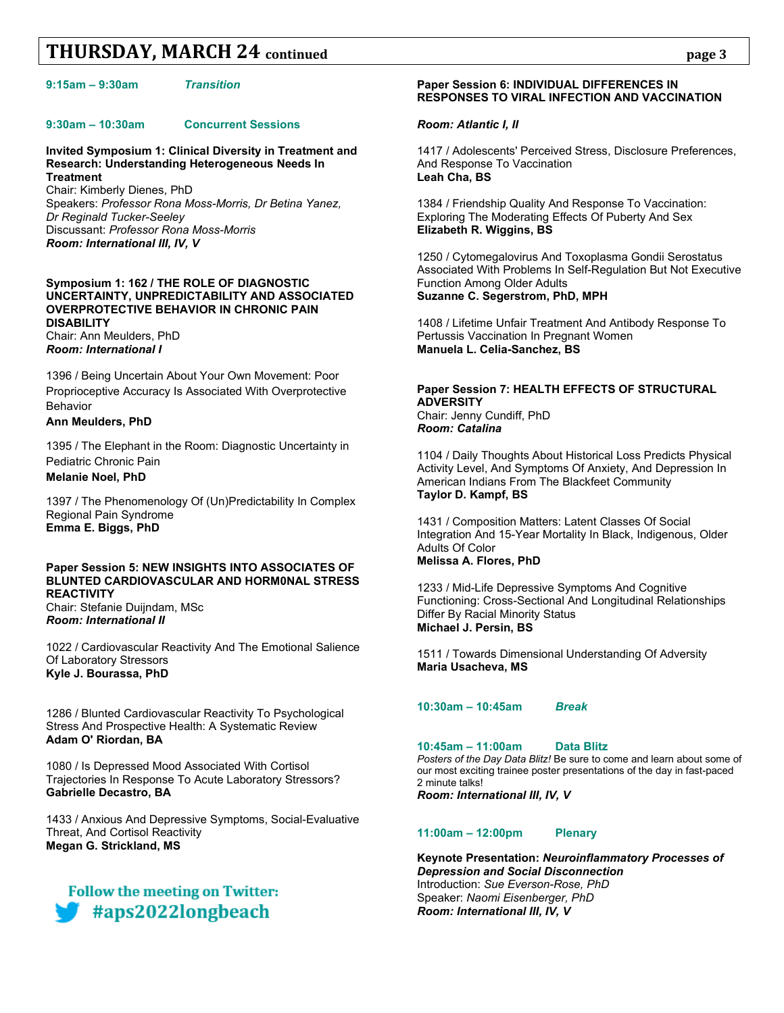#### **9:15am – 9:30am** *Transition*

#### **9:30am – 10:30am Concurrent Sessions**

**Invited Symposium 1: Clinical Diversity in Treatment and Research: Understanding Heterogeneous Needs In Treatment**

Chair: Kimberly Dienes, PhD Speakers: *Professor Rona Moss-Morris, Dr Betina Yanez, Dr Reginald Tucker-Seeley* Discussant: *Professor Rona Moss-Morris Room: International III, IV, V*

#### **Symposium 1: 162 / THE ROLE OF DIAGNOSTIC UNCERTAINTY, UNPREDICTABILITY AND ASSOCIATED OVERPROTECTIVE BEHAVIOR IN CHRONIC PAIN DISABILITY** Chair: Ann Meulders, PhD

*Room: International I*

1396 / Being Uncertain About Your Own Movement: Poor Proprioceptive Accuracy Is Associated With Overprotective Behavior

### **Ann Meulders, PhD**

1395 / The Elephant in the Room: Diagnostic Uncertainty in Pediatric Chronic Pain **Melanie Noel, PhD**

1397 / The Phenomenology Of (Un)Predictability In Complex Regional Pain Syndrome **Emma E. Biggs, PhD**

#### **Paper Session 5: NEW INSIGHTS INTO ASSOCIATES OF BLUNTED CARDIOVASCULAR AND HORM0NAL STRESS REACTIVITY** Chair: Stefanie Duijndam, MSc

*Room: International II*

1022 / Cardiovascular Reactivity And The Emotional Salience Of Laboratory Stressors **Kyle J. Bourassa, PhD**

1286 / Blunted Cardiovascular Reactivity To Psychological Stress And Prospective Health: A Systematic Review **Adam O' Riordan, BA**

1080 / Is Depressed Mood Associated With Cortisol Trajectories In Response To Acute Laboratory Stressors? **Gabrielle Decastro, BA**

1433 / Anxious And Depressive Symptoms, Social-Evaluative Threat, And Cortisol Reactivity **Megan G. Strickland, MS**

# **Follow the meeting on Twitter:** #aps2022longbeach

### **Paper Session 6: INDIVIDUAL DIFFERENCES IN RESPONSES TO VIRAL INFECTION AND VACCINATION**

#### *Room: Atlantic I, II*

1417 / Adolescents' Perceived Stress, Disclosure Preferences, And Response To Vaccination **Leah Cha, BS**

1384 / Friendship Quality And Response To Vaccination: Exploring The Moderating Effects Of Puberty And Sex **Elizabeth R. Wiggins, BS**

1250 / Cytomegalovirus And Toxoplasma Gondii Serostatus Associated With Problems In Self-Regulation But Not Executive Function Among Older Adults **Suzanne C. Segerstrom, PhD, MPH**

1408 / Lifetime Unfair Treatment And Antibody Response To Pertussis Vaccination In Pregnant Women **Manuela L. Celia-Sanchez, BS**

#### **Paper Session 7: HEALTH EFFECTS OF STRUCTURAL ADVERSITY** Chair: Jenny Cundiff, PhD *Room: Catalina*

1104 / Daily Thoughts About Historical Loss Predicts Physical Activity Level, And Symptoms Of Anxiety, And Depression In American Indians From The Blackfeet Community **Taylor D. Kampf, BS**

1431 / Composition Matters: Latent Classes Of Social Integration And 15-Year Mortality In Black, Indigenous, Older Adults Of Color **Melissa A. Flores, PhD**

1233 / Mid-Life Depressive Symptoms And Cognitive Functioning: Cross-Sectional And Longitudinal Relationships Differ By Racial Minority Status **Michael J. Persin, BS**

1511 / Towards Dimensional Understanding Of Adversity **Maria Usacheva, MS**

### **10:30am – 10:45am** *Break*

#### **10:45am – 11:00am Data Blitz**

*Posters of the Day Data Blitz!* Be sure to come and learn about some of our most exciting trainee poster presentations of the day in fast-paced 2 minute talks!

*Room: International III, IV, V*

#### **11:00am – 12:00pm Plenary**

**Keynote Presentation:** *Neuroinflammatory Processes of Depression and Social Disconnection* Introduction: *Sue Everson-Rose, PhD* Speaker: *Naomi Eisenberger, PhD* *Room: International III, IV, V*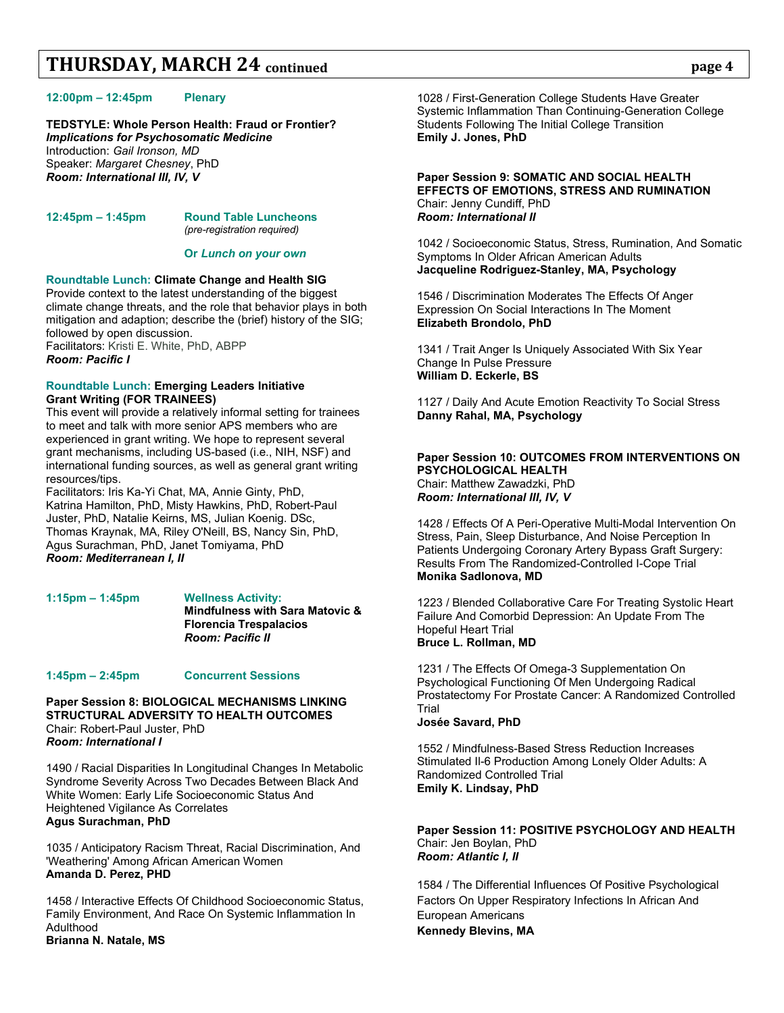#### **12:00pm – 12:45pm Plenary**

**TEDSTYLE: Whole Person Health: Fraud or Frontier?** *Implications for Psychosomatic Medicine* Introduction: *Gail Ironson, MD* Speaker: *Margaret Chesney*, PhD *Room: International III, IV, V*

#### **12:45pm – 1:45pm Round Table Luncheons** *(pre-registration required)*

**Or** *Lunch on your own* 

#### **Roundtable Lunch: Climate Change and Health SIG**

Provide context to the latest understanding of the biggest climate change threats, and the role that behavior plays in both mitigation and adaption; describe the (brief) history of the SIG; followed by open discussion. Facilitators: Kristi E. White, PhD, ABPP *Room: Pacific I*

#### **Roundtable Lunch: Emerging Leaders Initiative Grant Writing (FOR TRAINEES)**

This event will provide a relatively informal setting for trainees to meet and talk with more senior APS members who are experienced in grant writing. We hope to represent several grant mechanisms, including US-based (i.e., NIH, NSF) and international funding sources, as well as general grant writing resources/tips.

Facilitators: Iris Ka-Yi Chat, MA, Annie Ginty, PhD, Katrina Hamilton, PhD, Misty Hawkins, PhD, Robert-Paul Juster, PhD, Natalie Keirns, MS, Julian Koenig. DSc, Thomas Kraynak, MA, Riley O'Neill, BS, Nancy Sin, PhD, Agus Surachman, PhD, Janet Tomiyama, PhD *Room: Mediterranean I, II*

**1:15pm – 1:45pm Wellness Activity: Mindfulness with Sara Matovic & Florencia Trespalacios** *Room: Pacific II*

#### **1:45pm – 2:45pm Concurrent Sessions**

**Paper Session 8: BIOLOGICAL MECHANISMS LINKING STRUCTURAL ADVERSITY TO HEALTH OUTCOMES**  Chair: Robert-Paul Juster, PhD *Room: International I*

1490 / Racial Disparities In Longitudinal Changes In Metabolic Syndrome Severity Across Two Decades Between Black And White Women: Early Life Socioeconomic Status And Heightened Vigilance As Correlates **Agus Surachman, PhD**

1035 / Anticipatory Racism Threat, Racial Discrimination, And 'Weathering' Among African American Women **Amanda D. Perez, PHD**

1458 / Interactive Effects Of Childhood Socioeconomic Status, Family Environment, And Race On Systemic Inflammation In Adulthood **Brianna N. Natale, MS**

1028 / First-Generation College Students Have Greater Systemic Inflammation Than Continuing-Generation College Students Following The Initial College Transition **Emily J. Jones, PhD**

#### **Paper Session 9: SOMATIC AND SOCIAL HEALTH EFFECTS OF EMOTIONS, STRESS AND RUMINATION** Chair: Jenny Cundiff, PhD *Room: International II*

1042 / Socioeconomic Status, Stress, Rumination, And Somatic Symptoms In Older African American Adults **Jacqueline Rodriguez-Stanley, MA, Psychology**

1546 / Discrimination Moderates The Effects Of Anger Expression On Social Interactions In The Moment **Elizabeth Brondolo, PhD**

1341 / Trait Anger Is Uniquely Associated With Six Year Change In Pulse Pressure **William D. Eckerle, BS**

1127 / Daily And Acute Emotion Reactivity To Social Stress **Danny Rahal, MA, Psychology**

#### **Paper Session 10: OUTCOMES FROM INTERVENTIONS ON PSYCHOLOGICAL HEALTH** Chair: Matthew Zawadzki, PhD

*Room: International III, IV, V*

1428 / Effects Of A Peri-Operative Multi-Modal Intervention On Stress, Pain, Sleep Disturbance, And Noise Perception In Patients Undergoing Coronary Artery Bypass Graft Surgery: Results From The Randomized-Controlled I-Cope Trial **Monika Sadlonova, MD**

1223 / Blended Collaborative Care For Treating Systolic Heart Failure And Comorbid Depression: An Update From The Hopeful Heart Trial **Bruce L. Rollman, MD**

1231 / The Effects Of Omega-3 Supplementation On Psychological Functioning Of Men Undergoing Radical Prostatectomy For Prostate Cancer: A Randomized Controlled Trial

#### **Josée Savard, PhD**

1552 / Mindfulness-Based Stress Reduction Increases Stimulated Il-6 Production Among Lonely Older Adults: A Randomized Controlled Trial **Emily K. Lindsay, PhD**

#### **Paper Session 11: POSITIVE PSYCHOLOGY AND HEALTH** Chair: Jen Boylan, PhD *Room: Atlantic I, II*

1584 / The Differential Influences Of Positive Psychological Factors On Upper Respiratory Infections In African And European Americans **Kennedy Blevins, MA**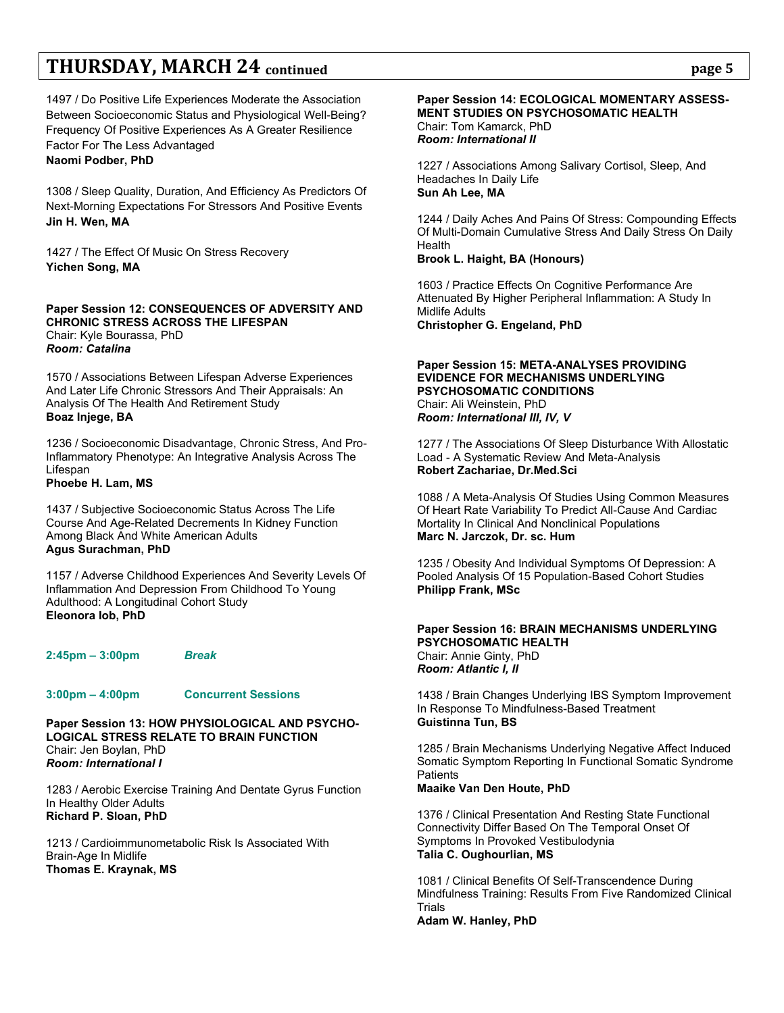1497 / Do Positive Life Experiences Moderate the Association Between Socioeconomic Status and Physiological Well-Being? Frequency Of Positive Experiences As A Greater Resilience Factor For The Less Advantaged **Naomi Podber, PhD**

1308 / Sleep Quality, Duration, And Efficiency As Predictors Of Next-Morning Expectations For Stressors And Positive Events **Jin H. Wen, MA**

1427 / The Effect Of Music On Stress Recovery **Yichen Song, MA**

**Paper Session 12: CONSEQUENCES OF ADVERSITY AND CHRONIC STRESS ACROSS THE LIFESPAN** Chair: Kyle Bourassa, PhD *Room: Catalina*

1570 / Associations Between Lifespan Adverse Experiences And Later Life Chronic Stressors And Their Appraisals: An Analysis Of The Health And Retirement Study **Boaz Injege, BA**

1236 / Socioeconomic Disadvantage, Chronic Stress, And Pro-Inflammatory Phenotype: An Integrative Analysis Across The Lifespan **Phoebe H. Lam, MS**

1437 / Subjective Socioeconomic Status Across The Life Course And Age-Related Decrements In Kidney Function Among Black And White American Adults **Agus Surachman, PhD**

1157 / Adverse Childhood Experiences And Severity Levels Of Inflammation And Depression From Childhood To Young Adulthood: A Longitudinal Cohort Study **Eleonora Iob, PhD**

**2:45pm – 3:00pm** *Break*

#### **3:00pm – 4:00pm Concurrent Sessions**

**Paper Session 13: HOW PHYSIOLOGICAL AND PSYCHO-LOGICAL STRESS RELATE TO BRAIN FUNCTION** Chair: Jen Boylan, PhD *Room: International I*

1283 / Aerobic Exercise Training And Dentate Gyrus Function In Healthy Older Adults **Richard P. Sloan, PhD**

1213 / Cardioimmunometabolic Risk Is Associated With Brain-Age In Midlife **Thomas E. Kraynak, MS**

### **Paper Session 14: ECOLOGICAL MOMENTARY ASSESS-MENT STUDIES ON PSYCHOSOMATIC HEALTH** Chair: Tom Kamarck, PhD *Room: International II*

1227 / Associations Among Salivary Cortisol, Sleep, And Headaches In Daily Life **Sun Ah Lee, MA**

1244 / Daily Aches And Pains Of Stress: Compounding Effects Of Multi-Domain Cumulative Stress And Daily Stress On Daily Health

### **Brook L. Haight, BA (Honours)**

1603 / Practice Effects On Cognitive Performance Are Attenuated By Higher Peripheral Inflammation: A Study In Midlife Adults **Christopher G. Engeland, PhD**

### **Paper Session 15: META-ANALYSES PROVIDING EVIDENCE FOR MECHANISMS UNDERLYING PSYCHOSOMATIC CONDITIONS** Chair: Ali Weinstein, PhD *Room: International III, IV, V*

1277 / The Associations Of Sleep Disturbance With Allostatic Load - A Systematic Review And Meta-Analysis **Robert Zachariae, Dr.Med.Sci**

1088 / A Meta-Analysis Of Studies Using Common Measures Of Heart Rate Variability To Predict All-Cause And Cardiac Mortality In Clinical And Nonclinical Populations **Marc N. Jarczok, Dr. sc. Hum**

1235 / Obesity And Individual Symptoms Of Depression: A Pooled Analysis Of 15 Population-Based Cohort Studies **Philipp Frank, MSc**

#### **Paper Session 16: BRAIN MECHANISMS UNDERLYING PSYCHOSOMATIC HEALTH** Chair: Annie Ginty, PhD *Room: Atlantic I, II*

1438 / Brain Changes Underlying IBS Symptom Improvement In Response To Mindfulness-Based Treatment **Guistinna Tun, BS**

1285 / Brain Mechanisms Underlying Negative Affect Induced Somatic Symptom Reporting In Functional Somatic Syndrome **Patients** 

### **Maaike Van Den Houte, PhD**

1376 / Clinical Presentation And Resting State Functional Connectivity Differ Based On The Temporal Onset Of Symptoms In Provoked Vestibulodynia **Talia C. Oughourlian, MS**

1081 / Clinical Benefits Of Self-Transcendence During Mindfulness Training: Results From Five Randomized Clinical Trials **Adam W. Hanley, PhD**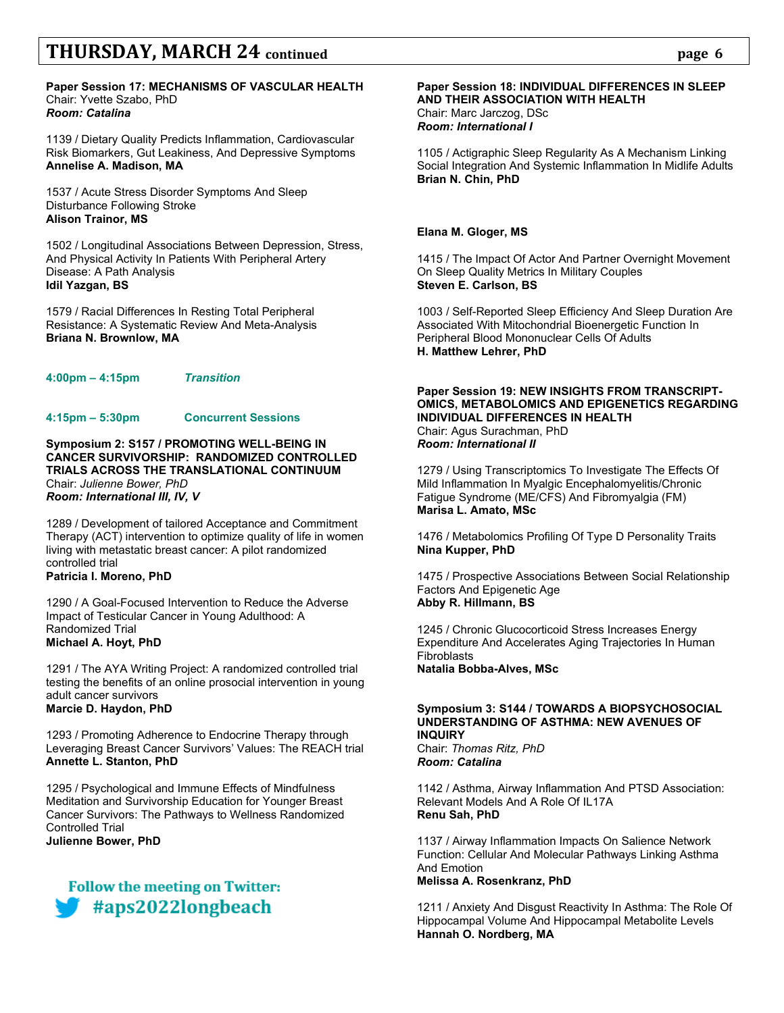#### **Paper Session 17: MECHANISMS OF VASCULAR HEALTH** Chair: Yvette Szabo, PhD *Room: Catalina*

1139 / Dietary Quality Predicts Inflammation, Cardiovascular Risk Biomarkers, Gut Leakiness, And Depressive Symptoms **Annelise A. Madison, MA**

1537 / Acute Stress Disorder Symptoms And Sleep Disturbance Following Stroke **Alison Trainor, MS**

1502 / Longitudinal Associations Between Depression, Stress, And Physical Activity In Patients With Peripheral Artery Disease: A Path Analysis **Idil Yazgan, BS**

1579 / Racial Differences In Resting Total Peripheral Resistance: A Systematic Review And Meta-Analysis **Briana N. Brownlow, MA**

**4:00pm – 4:15pm** *Transition*

# **4:15pm – 5:30pm Concurrent Sessions**

**Symposium 2: S157 / PROMOTING WELL-BEING IN CANCER SURVIVORSHIP: RANDOMIZED CONTROLLED TRIALS ACROSS THE TRANSLATIONAL CONTINUUM** Chair: *Julienne Bower, PhD Room: International III, IV, V*

1289 / Development of tailored Acceptance and Commitment Therapy (ACT) intervention to optimize quality of life in women living with metastatic breast cancer: A pilot randomized controlled trial

**Patricia I. Moreno, PhD**

1290 / A Goal-Focused Intervention to Reduce the Adverse Impact of Testicular Cancer in Young Adulthood: A Randomized Trial **Michael A. Hoyt, PhD**

1291 / The AYA Writing Project: A randomized controlled trial testing the benefits of an online prosocial intervention in young adult cancer survivors **Marcie D. Haydon, PhD**

1293 / Promoting Adherence to Endocrine Therapy through Leveraging Breast Cancer Survivors' Values: The REACH trial **Annette L. Stanton, PhD** 

1295 / Psychological and Immune Effects of Mindfulness Meditation and Survivorship Education for Younger Breast Cancer Survivors: The Pathways to Wellness Randomized Controlled Trial

**Julienne Bower, PhD**



### **Paper Session 18: INDIVIDUAL DIFFERENCES IN SLEEP AND THEIR ASSOCIATION WITH HEALTH** Chair: Marc Jarczog, DSc

*Room: International I*

1105 / Actigraphic Sleep Regularity As A Mechanism Linking Social Integration And Systemic Inflammation In Midlife Adults **Brian N. Chin, PhD**

### **Elana M. Gloger, MS**

1415 / The Impact Of Actor And Partner Overnight Movement On Sleep Quality Metrics In Military Couples **Steven E. Carlson, BS**

1003 / Self-Reported Sleep Efficiency And Sleep Duration Are Associated With Mitochondrial Bioenergetic Function In Peripheral Blood Mononuclear Cells Of Adults **H. Matthew Lehrer, PhD**

#### **Paper Session 19: NEW INSIGHTS FROM TRANSCRIPT-OMICS, METABOLOMICS AND EPIGENETICS REGARDING INDIVIDUAL DIFFERENCES IN HEALTH** Chair: Agus Surachman, PhD *Room: International II*

1279 / Using Transcriptomics To Investigate The Effects Of Mild Inflammation In Myalgic Encephalomyelitis/Chronic Fatigue Syndrome (ME/CFS) And Fibromyalgia (FM) **Marisa L. Amato, MSc**

1476 / Metabolomics Profiling Of Type D Personality Traits **Nina Kupper, PhD**

1475 / Prospective Associations Between Social Relationship Factors And Epigenetic Age **Abby R. Hillmann, BS**

1245 / Chronic Glucocorticoid Stress Increases Energy Expenditure And Accelerates Aging Trajectories In Human **Fibroblasts Natalia Bobba-Alves, MSc**

### **Symposium 3: S144 / TOWARDS A BIOPSYCHOSOCIAL UNDERSTANDING OF ASTHMA: NEW AVENUES OF INQUIRY**

Chair: *Thomas Ritz, PhD Room: Catalina*

1142 / Asthma, Airway Inflammation And PTSD Association: Relevant Models And A Role Of IL17A **Renu Sah, PhD**

1137 / Airway Inflammation Impacts On Salience Network Function: Cellular And Molecular Pathways Linking Asthma And Emotion **Melissa A. Rosenkranz, PhD**

1211 / Anxiety And Disgust Reactivity In Asthma: The Role Of Hippocampal Volume And Hippocampal Metabolite Levels **Hannah O. Nordberg, MA**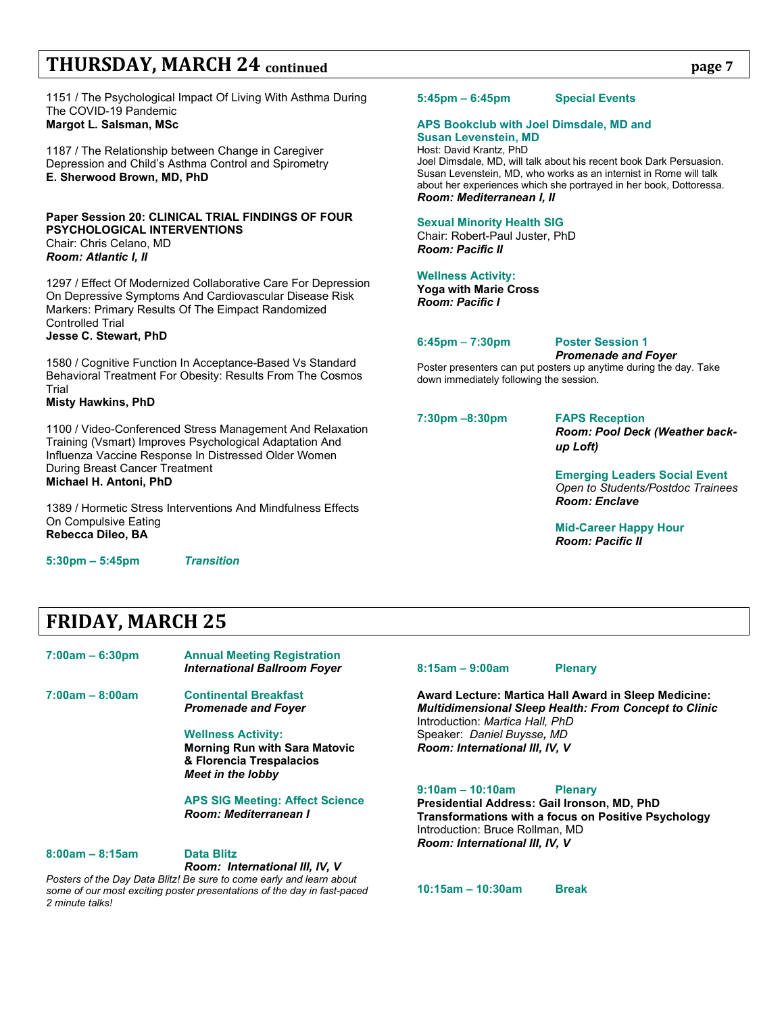1151 / The Psychological Impact Of Living With Asthma During The COVID-19 Pandemic **Margot L. Salsman, MSc**

1187 / The Relationship between Change in Caregiver Depression and Child's Asthma Control and Spirometry **E. Sherwood Brown, MD, PhD**

#### **Paper Session 20: CLINICAL TRIAL FINDINGS OF FOUR PSYCHOLOGICAL INTERVENTIONS** Chair: Chris Celano, MD *Room: Atlantic I, II*

1297 / Effect Of Modernized Collaborative Care For Depression On Depressive Symptoms And Cardiovascular Disease Risk Markers: Primary Results Of The Eimpact Randomized Controlled Trial **Jesse C. Stewart, PhD**

1580 / Cognitive Function In Acceptance-Based Vs Standard Behavioral Treatment For Obesity: Results From The Cosmos Trial

### **Misty Hawkins, PhD**

1100 / Video-Conferenced Stress Management And Relaxation Training (Vsmart) Improves Psychological Adaptation And Influenza Vaccine Response In Distressed Older Women During Breast Cancer Treatment **Michael H. Antoni, PhD**

1389 / Hormetic Stress Interventions And Mindfulness Effects On Compulsive Eating **Rebecca Dileo, BA**

**5:30pm – 5:45pm** *Transition*

# **FRIDAY, MARCH 25**

**7:00am – 6:30pm Annual Meeting Registration** *International Ballroom Foyer*

**7:00am – 8:00am Continental Breakfast** *Promenade and Foyer*

> **Wellness Activity: Morning Run with Sara Matovic & Florencia Trespalacios** *Meet in the lobby*

**APS SIG Meeting: Affect Science** *Room: Mediterranean I*

**8:00am – 8:15am Data Blitz**

*Room: International III, IV, V*

*Posters of the Day Data Blitz! Be sure to come early and learn about some of our most exciting poster presentations of the day in fast-paced 2 minute talks!* 

**5:45pm – 6:45pm Special Events**

#### **APS Bookclub with Joel Dimsdale, MD and Susan Levenstein, MD**

Host: David Krantz, PhD Joel Dimsdale, MD, will talk about his recent book Dark Persuasion. Susan Levenstein, MD, who works as an internist in Rome will talk about her experiences which she portrayed in her book, Dottoressa. *Room: Mediterranean I, II*

#### **Sexual Minority Health SIG**

Chair: Robert-Paul Juster, PhD *Room: Pacific II*

#### **Wellness Activity:**

**Yoga with Marie Cross** *Room: Pacific I*

### **6:45pm** – **7:30pm Poster Session 1**

*Promenade and Foyer*

Poster presenters can put posters up anytime during the day. Take down immediately following the session.

**7:30pm –8:30pm FAPS Reception** 

*Room: Pool Deck (Weather backup Loft)*

### **Emerging Leaders Social Event** *Open to Students/Postdoc Trainees Room: Enclave*

**Mid-Career Happy Hour** *Room: Pacific II*

#### **8:15am – 9:00am Plenary**

**Award Lecture: Martica Hall Award in Sleep Medicine:** *Multidimensional Sleep Health: From Concept to Clinic* Introduction: *Martica Hall, PhD* Speaker: *Daniel Buysse, MD Room: International III, IV, V*

#### **9:10am** – **10:10am Plenary**

**Presidential Address: Gail Ironson, MD, PhD Transformations with a focus on Positive Psychology** Introduction: Bruce Rollman, MD *Room: International III, IV, V*

**10:15am – 10:30am Break**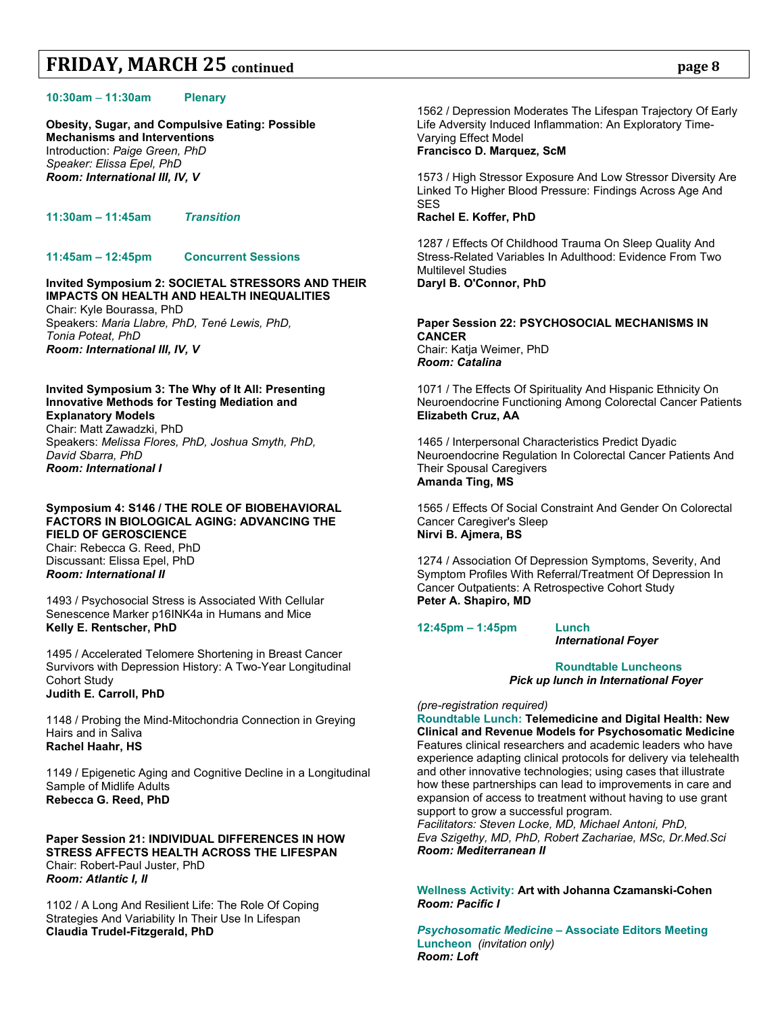**Obesity, Sugar, and Compulsive Eating: Possible Mechanisms and Interventions** Introduction: *Paige Green, PhD Speaker: Elissa Epel, PhD Room: International III, IV, V*

**11:30am – 11:45am** *Transition*

#### **11:45am – 12:45pm Concurrent Sessions**

**Invited Symposium 2: SOCIETAL STRESSORS AND THEIR IMPACTS ON HEALTH AND HEALTH INEQUALITIES** Chair: Kyle Bourassa, PhD Speakers: *Maria Llabre, PhD, Tené Lewis, PhD,*

*Tonia Poteat, PhD Room: International III, IV, V*

## **Invited Symposium 3: The Why of It All: Presenting Innovative Methods for Testing Mediation and Explanatory Models**

Chair: Matt Zawadzki, PhD Speakers: *Melissa Flores, PhD, Joshua Smyth, PhD, David Sbarra, PhD Room: International I*

#### **Symposium 4: S146 / THE ROLE OF BIOBEHAVIORAL FACTORS IN BIOLOGICAL AGING: ADVANCING THE FIELD OF GEROSCIENCE** Chair: Rebecca G. Reed, PhD Discussant: Elissa Epel, PhD *Room: International II*

1493 / Psychosocial Stress is Associated With Cellular Senescence Marker p16INK4a in Humans and Mice **Kelly E. Rentscher, PhD**

1495 / Accelerated Telomere Shortening in Breast Cancer Survivors with Depression History: A Two-Year Longitudinal Cohort Study **Judith E. Carroll, PhD**

1148 / Probing the Mind-Mitochondria Connection in Greying Hairs and in Saliva **Rachel Haahr, HS**

1149 / Epigenetic Aging and Cognitive Decline in a Longitudinal Sample of Midlife Adults **Rebecca G. Reed, PhD**

#### **Paper Session 21: INDIVIDUAL DIFFERENCES IN HOW STRESS AFFECTS HEALTH ACROSS THE LIFESPAN** Chair: Robert-Paul Juster, PhD *Room: Atlantic I, II*

1102 / A Long And Resilient Life: The Role Of Coping Strategies And Variability In Their Use In Lifespan **Claudia Trudel-Fitzgerald, PhD**

1562 / Depression Moderates The Lifespan Trajectory Of Early Life Adversity Induced Inflammation: An Exploratory Time-Varying Effect Model **Francisco D. Marquez, ScM**

1573 / High Stressor Exposure And Low Stressor Diversity Are Linked To Higher Blood Pressure: Findings Across Age And SES

### **Rachel E. Koffer, PhD**

1287 / Effects Of Childhood Trauma On Sleep Quality And Stress-Related Variables In Adulthood: Evidence From Two Multilevel Studies **Daryl B. O'Connor, PhD**

**Paper Session 22: PSYCHOSOCIAL MECHANISMS IN CANCER** Chair: Katja Weimer, PhD *Room: Catalina*

1071 / The Effects Of Spirituality And Hispanic Ethnicity On Neuroendocrine Functioning Among Colorectal Cancer Patients **Elizabeth Cruz, AA**

1465 / Interpersonal Characteristics Predict Dyadic Neuroendocrine Regulation In Colorectal Cancer Patients And Their Spousal Caregivers **Amanda Ting, MS**

1565 / Effects Of Social Constraint And Gender On Colorectal Cancer Caregiver's Sleep **Nirvi B. Ajmera, BS**

1274 / Association Of Depression Symptoms, Severity, And Symptom Profiles With Referral/Treatment Of Depression In Cancer Outpatients: A Retrospective Cohort Study **Peter A. Shapiro, MD**

**12:45pm – 1:45pm Lunch**

*International Foyer*

**Roundtable Luncheons** *Pick up lunch in International Foyer*

*(pre-registration required)* **Roundtable Lunch: Telemedicine and Digital Health: New Clinical and Revenue Models for Psychosomatic Medicine**  Features clinical researchers and academic leaders who have

experience adapting clinical protocols for delivery via telehealth and other innovative technologies; using cases that illustrate how these partnerships can lead to improvements in care and expansion of access to treatment without having to use grant support to grow a successful program.

*Facilitators: Steven Locke, MD, Michael Antoni, PhD, Eva Szigethy, MD, PhD, Robert Zachariae, MSc, Dr.Med.Sci Room: Mediterranean II*

**Wellness Activity: Art with Johanna Czamanski-Cohen** *Room: Pacific I*

*Psychosomatic Medicine* **– Associate Editors Meeting Luncheon** *(invitation only) Room: Loft*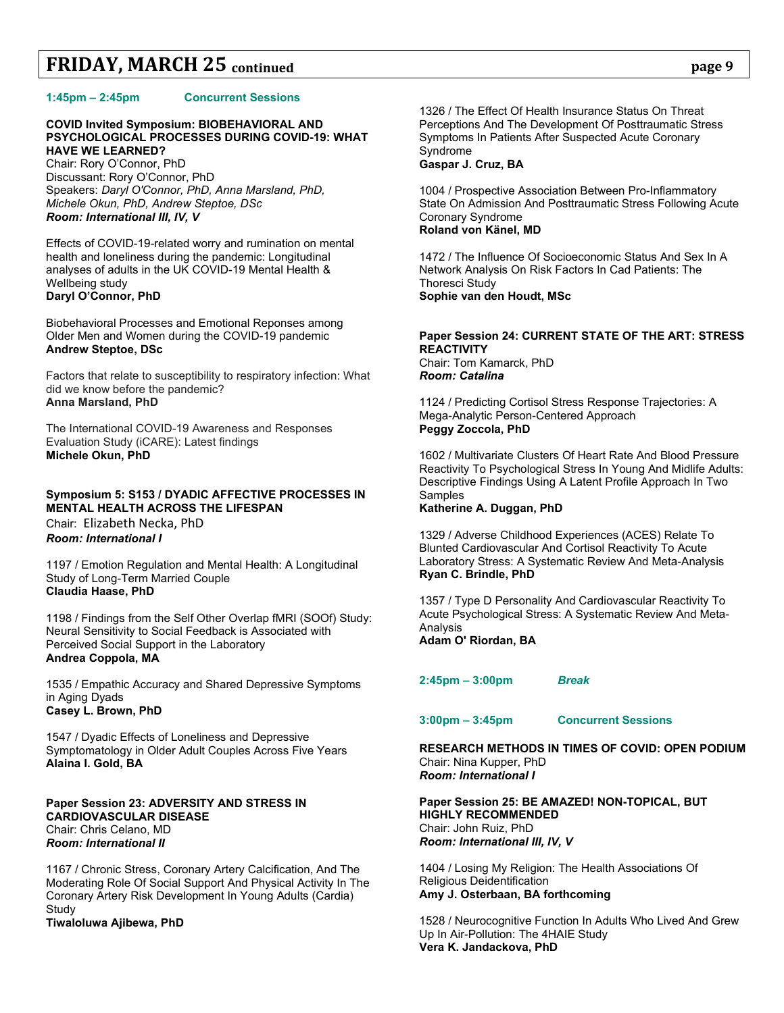#### **1:45pm – 2:45pm Concurrent Sessions**

### **COVID Invited Symposium: BIOBEHAVIORAL AND PSYCHOLOGICAL PROCESSES DURING COVID-19: WHAT HAVE WE LEARNED?**

Chair: Rory O'Connor, PhD Discussant: Rory O'Connor, PhD Speakers: *Daryl O'Connor, PhD, Anna Marsland, PhD, Michele Okun, PhD, Andrew Steptoe, DSc Room: International III, IV, V*

Effects of COVID-19-related worry and rumination on mental health and loneliness during the pandemic: Longitudinal analyses of adults in the UK COVID-19 Mental Health & Wellbeing study **Daryl O'Connor, PhD**

Biobehavioral Processes and Emotional Reponses among Older Men and Women during the COVID-19 pandemic **Andrew Steptoe, DSc**

Factors that relate to susceptibility to respiratory infection: What did we know before the pandemic? **Anna Marsland, PhD**

The International COVID-19 Awareness and Responses Evaluation Study (iCARE): Latest findings **Michele Okun, PhD**

### **Symposium 5: S153 / DYADIC AFFECTIVE PROCESSES IN MENTAL HEALTH ACROSS THE LIFESPAN** Chair: Elizabeth Necka, PhD *Room: International I*

1197 / Emotion Regulation and Mental Health: A Longitudinal Study of Long-Term Married Couple **Claudia Haase, PhD**

1198 / Findings from the Self Other Overlap fMRI (SOOf) Study: Neural Sensitivity to Social Feedback is Associated with Perceived Social Support in the Laboratory **Andrea Coppola, MA**

1535 / Empathic Accuracy and Shared Depressive Symptoms in Aging Dyads **Casey L. Brown, PhD**

1547 / Dyadic Effects of Loneliness and Depressive Symptomatology in Older Adult Couples Across Five Years **Alaina I. Gold, BA**

#### **Paper Session 23: ADVERSITY AND STRESS IN CARDIOVASCULAR DISEASE** Chair: Chris Celano, MD *Room: International II*

1167 / Chronic Stress, Coronary Artery Calcification, And The Moderating Role Of Social Support And Physical Activity In The Coronary Artery Risk Development In Young Adults (Cardia) Study

**Tiwaloluwa Ajibewa, PhD**

1326 / The Effect Of Health Insurance Status On Threat Perceptions And The Development Of Posttraumatic Stress Symptoms In Patients After Suspected Acute Coronary Syndrome

### **Gaspar J. Cruz, BA**

1004 / Prospective Association Between Pro-Inflammatory State On Admission And Posttraumatic Stress Following Acute Coronary Syndrome **Roland von Känel, MD**

1472 / The Influence Of Socioeconomic Status And Sex In A Network Analysis On Risk Factors In Cad Patients: The Thoresci Study **Sophie van den Houdt, MSc**

#### **Paper Session 24: CURRENT STATE OF THE ART: STRESS REACTIVITY** Chair: Tom Kamarck, PhD *Room: Catalina*

1124 / Predicting Cortisol Stress Response Trajectories: A Mega-Analytic Person-Centered Approach **Peggy Zoccola, PhD**

1602 / Multivariate Clusters Of Heart Rate And Blood Pressure Reactivity To Psychological Stress In Young And Midlife Adults: Descriptive Findings Using A Latent Profile Approach In Two Samples

**Katherine A. Duggan, PhD**

1329 / Adverse Childhood Experiences (ACES) Relate To Blunted Cardiovascular And Cortisol Reactivity To Acute Laboratory Stress: A Systematic Review And Meta-Analysis **Ryan C. Brindle, PhD**

1357 / Type D Personality And Cardiovascular Reactivity To Acute Psychological Stress: A Systematic Review And Meta-Analysis

**Adam O' Riordan, BA**

**2:45pm – 3:00pm** *Break*

**3:00pm – 3:45pm Concurrent Sessions**

**RESEARCH METHODS IN TIMES OF COVID: OPEN PODIUM** Chair: Nina Kupper, PhD *Room: International I*

**Paper Session 25: BE AMAZED! NON-TOPICAL, BUT HIGHLY RECOMMENDED** Chair: John Ruiz, PhD *Room: International III, IV, V*

1404 / Losing My Religion: The Health Associations Of Religious Deidentification **Amy J. Osterbaan, BA forthcoming**

1528 / Neurocognitive Function In Adults Who Lived And Grew Up In Air-Pollution: The 4HAIE Study **Vera K. Jandackova, PhD**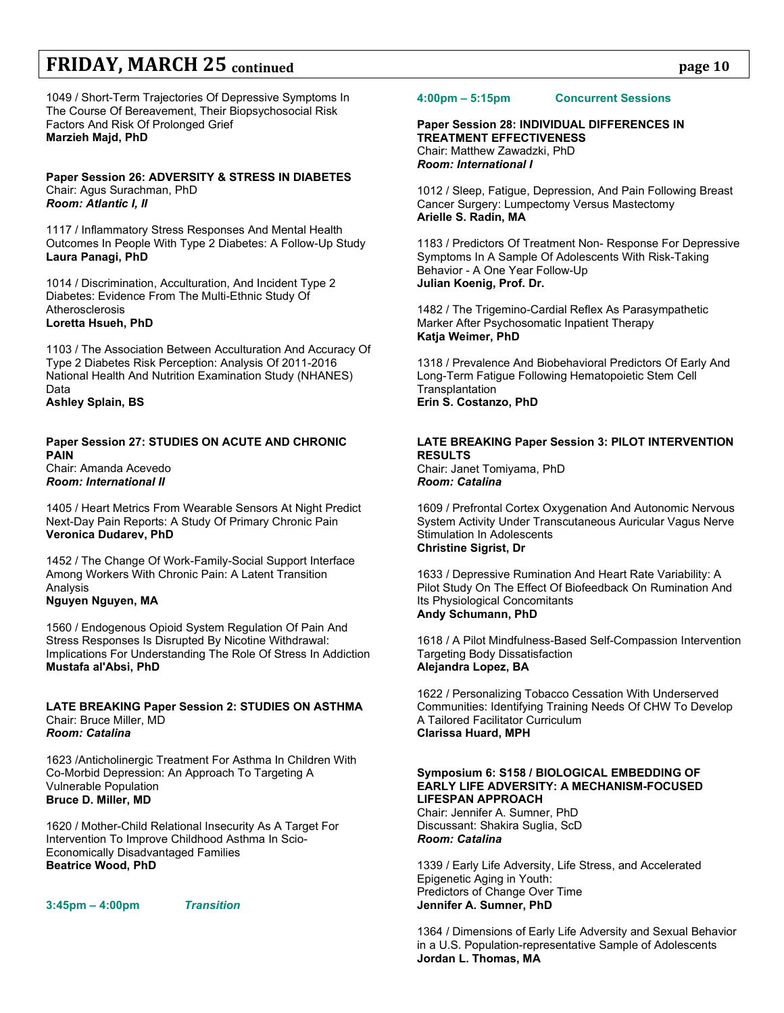1049 / Short-Term Trajectories Of Depressive Symptoms In The Course Of Bereavement, Their Biopsychosocial Risk Factors And Risk Of Prolonged Grief **Marzieh Majd, PhD**

**Paper Session 26: ADVERSITY & STRESS IN DIABETES** Chair: Agus Surachman, PhD *Room: Atlantic I, II*

1117 / Inflammatory Stress Responses And Mental Health Outcomes In People With Type 2 Diabetes: A Follow-Up Study **Laura Panagi, PhD**

1014 / Discrimination, Acculturation, And Incident Type 2 Diabetes: Evidence From The Multi-Ethnic Study Of Atherosclerosis **Loretta Hsueh, PhD**

1103 / The Association Between Acculturation And Accuracy Of Type 2 Diabetes Risk Perception: Analysis Of 2011-2016 National Health And Nutrition Examination Study (NHANES) Data

**Ashley Splain, BS**

#### **Paper Session 27: STUDIES ON ACUTE AND CHRONIC PAIN** Chair: Amanda Acevedo *Room: International II*

1405 / Heart Metrics From Wearable Sensors At Night Predict Next-Day Pain Reports: A Study Of Primary Chronic Pain **Veronica Dudarev, PhD**

1452 / The Change Of Work-Family-Social Support Interface Among Workers With Chronic Pain: A Latent Transition Analysis

## **Nguyen Nguyen, MA**

1560 / Endogenous Opioid System Regulation Of Pain And Stress Responses Is Disrupted By Nicotine Withdrawal: Implications For Understanding The Role Of Stress In Addiction **Mustafa al'Absi, PhD**

#### **LATE BREAKING Paper Session 2: STUDIES ON ASTHMA** Chair: Bruce Miller, MD *Room: Catalina*

1623 /Anticholinergic Treatment For Asthma In Children With Co-Morbid Depression: An Approach To Targeting A Vulnerable Population **Bruce D. Miller, MD**

1620 / Mother-Child Relational Insecurity As A Target For Intervention To Improve Childhood Asthma In Scio-Economically Disadvantaged Families **Beatrice Wood, PhD**

**3:45pm – 4:00pm** *Transition*

### **4:00pm – 5:15pm Concurrent Sessions**

**Paper Session 28: INDIVIDUAL DIFFERENCES IN TREATMENT EFFECTIVENESS** Chair: Matthew Zawadzki, PhD *Room: International I*

1012 / Sleep, Fatigue, Depression, And Pain Following Breast Cancer Surgery: Lumpectomy Versus Mastectomy **Arielle S. Radin, MA**

1183 / Predictors Of Treatment Non- Response For Depressive Symptoms In A Sample Of Adolescents With Risk-Taking Behavior - A One Year Follow-Up **Julian Koenig, Prof. Dr.**

1482 / The Trigemino-Cardial Reflex As Parasympathetic Marker After Psychosomatic Inpatient Therapy **Katja Weimer, PhD**

1318 / Prevalence And Biobehavioral Predictors Of Early And Long-Term Fatigue Following Hematopoietic Stem Cell **Transplantation Erin S. Costanzo, PhD**

### **LATE BREAKING Paper Session 3: PILOT INTERVENTION RESULTS**

Chair: Janet Tomiyama, PhD *Room: Catalina*

1609 / Prefrontal Cortex Oxygenation And Autonomic Nervous System Activity Under Transcutaneous Auricular Vagus Nerve Stimulation In Adolescents **Christine Sigrist, Dr**

1633 / Depressive Rumination And Heart Rate Variability: A Pilot Study On The Effect Of Biofeedback On Rumination And Its Physiological Concomitants **Andy Schumann, PhD**

1618 / A Pilot Mindfulness-Based Self-Compassion Intervention Targeting Body Dissatisfaction **Alejandra Lopez, BA**

1622 / Personalizing Tobacco Cessation With Underserved Communities: Identifying Training Needs Of CHW To Develop A Tailored Facilitator Curriculum **Clarissa Huard, MPH**

### **Symposium 6: S158 / BIOLOGICAL EMBEDDING OF EARLY LIFE ADVERSITY: A MECHANISM-FOCUSED LIFESPAN APPROACH**

Chair: Jennifer A. Sumner, PhD Discussant: Shakira Suglia, ScD *Room: Catalina*

1339 / Early Life Adversity, Life Stress, and Accelerated Epigenetic Aging in Youth: Predictors of Change Over Time **Jennifer A. Sumner, PhD**

1364 / Dimensions of Early Life Adversity and Sexual Behavior in a U.S. Population-representative Sample of Adolescents **Jordan L. Thomas, MA**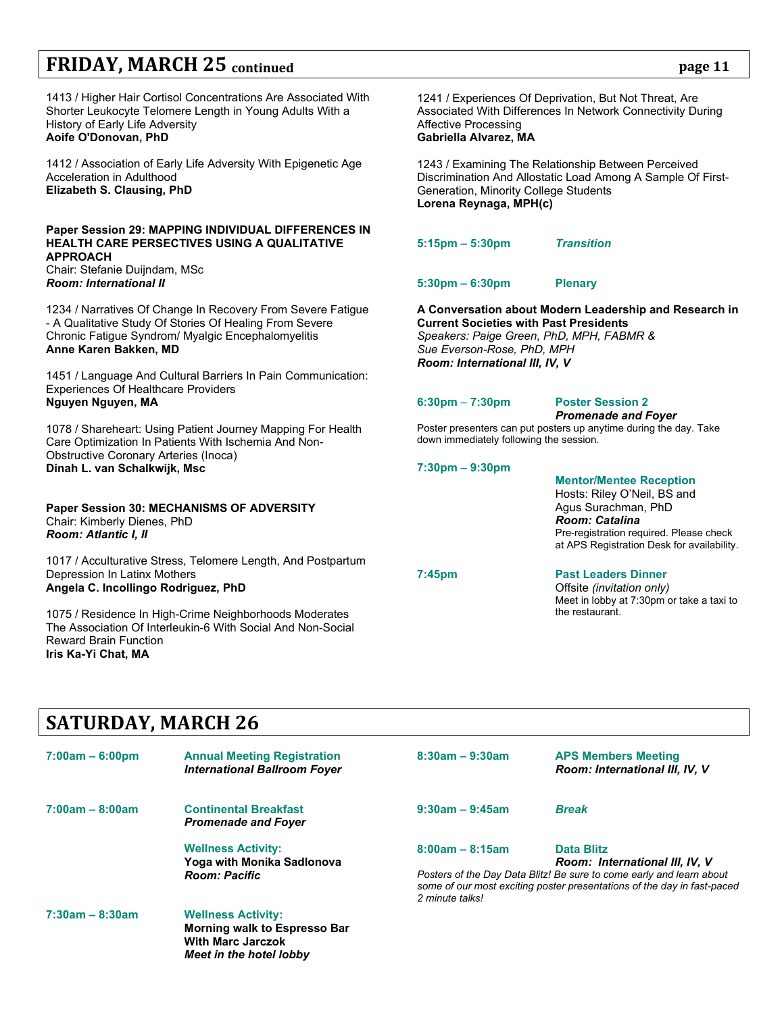1413 / Higher Hair Cortisol Concentrations Are Associated With Shorter Leukocyte Telomere Length in Young Adults With a History of Early Life Adversity **Aoife O'Donovan, PhD** 

1412 / Association of Early Life Adversity With Epigenetic Age Acceleration in Adulthood **Elizabeth S. Clausing, PhD**

### **Paper Session 29: MAPPING INDIVIDUAL DIFFERENCES IN HEALTH CARE PERSECTIVES USING A QUALITATIVE APPROACH**

Chair: Stefanie Duijndam, MSc *Room: International II*

1234 / Narratives Of Change In Recovery From Severe Fatigue - A Qualitative Study Of Stories Of Healing From Severe Chronic Fatigue Syndrom/ Myalgic Encephalomyelitis **Anne Karen Bakken, MD**

1451 / Language And Cultural Barriers In Pain Communication: Experiences Of Healthcare Providers **Nguyen Nguyen, MA**

1078 / Shareheart: Using Patient Journey Mapping For Health Care Optimization In Patients With Ischemia And Non-Obstructive Coronary Arteries (Inoca) **Dinah L. van Schalkwijk, Msc**

**Paper Session 30: MECHANISMS OF ADVERSITY** Chair: Kimberly Dienes, PhD *Room: Atlantic I, II*

1017 / Acculturative Stress, Telomere Length, And Postpartum Depression In Latinx Mothers **Angela C. Incollingo Rodriguez, PhD**

1075 / Residence In High-Crime Neighborhoods Moderates The Association Of Interleukin-6 With Social And Non-Social Reward Brain Function **Iris Ka-Yi Chat, MA**

1241 / Experiences Of Deprivation, But Not Threat, Are Associated With Differences In Network Connectivity During Affective Processing **Gabriella Alvarez, MA**

1243 / Examining The Relationship Between Perceived Discrimination And Allostatic Load Among A Sample Of First-Generation, Minority College Students **Lorena Reynaga, MPH(c)**

**5:15pm – 5:30pm** *Transition*

**5:30pm – 6:30pm Plenary** 

**A Conversation about Modern Leadership and Research in Current Societies with Past Presidents** *Speakers: Paige Green, PhD, MPH, FABMR & Sue Everson-Rose, PhD, MPH Room: International III, IV, V*

**6:30pm** – **7:30pm Poster Session 2**

*Promenade and Foyer* Poster presenters can put posters up anytime during the day. Take down immediately following the session.

**7:30pm** – **9:30pm**

**Mentor/Mentee Reception** Hosts: Riley O'Neil, BS and Agus Surachman, PhD *Room: Catalina* Pre-registration required. Please check at APS Registration Desk for availability.

## **7:45pm Past Leaders Dinner**

Offsite *(invitation only)* Meet in lobby at 7:30pm or take a taxi to the restaurant.

# **SATURDAY, MARCH 26**

| $7:00am - 6:00pm$ | <b>Annual Meeting Registration</b><br><b>International Ballroom Foyer</b>                                        | $8:30am - 9:30am$                    | <b>APS Members Meeting</b><br>Room: International III, IV, V                                                                                                                                           |
|-------------------|------------------------------------------------------------------------------------------------------------------|--------------------------------------|--------------------------------------------------------------------------------------------------------------------------------------------------------------------------------------------------------|
| $7:00am - 8:00am$ | <b>Continental Breakfast</b><br><b>Promenade and Foyer</b>                                                       | $9:30am - 9:45am$                    | <b>Break</b>                                                                                                                                                                                           |
|                   | <b>Wellness Activity:</b><br>Yoga with Monika Sadlonova<br><b>Room: Pacific</b>                                  | $8:00am - 8:15am$<br>2 minute talks! | <b>Data Blitz</b><br>Room: International III, IV, V<br>Posters of the Day Data Blitz! Be sure to come early and learn about<br>some of our most exciting poster presentations of the day in fast-paced |
| $7:30am - 8:30am$ | <b>Wellness Activity:</b><br>Morning walk to Espresso Bar<br><b>With Marc Jarczok</b><br>Meet in the hotel lobby |                                      |                                                                                                                                                                                                        |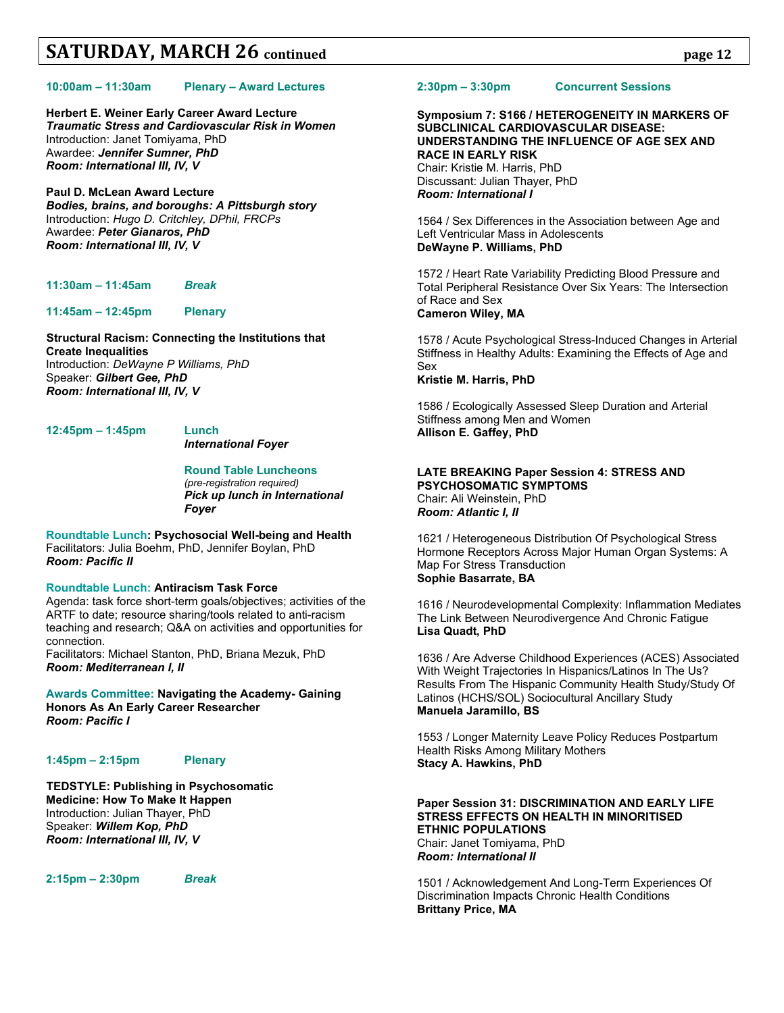#### **10:00am – 11:30am Plenary – Award Lectures**

**Herbert E. Weiner Early Career Award Lecture** *Traumatic Stress and Cardiovascular Risk in Women* Introduction: Janet Tomiyama, PhD Awardee: *Jennifer Sumner, PhD Room: International III, IV, V*

**Paul D. McLean Award Lecture** *Bodies, brains, and boroughs: A Pittsburgh story* Introduction: *Hugo D. Critchley, DPhil, FRCPs* Awardee: *Peter Gianaros, PhD Room: International III, IV, V*

**11:30am – 11:45am** *Break*

**11:45am – 12:45pm Plenary**

**Structural Racism: Connecting the Institutions that Create Inequalities** Introduction: *DeWayne P Williams, PhD* Speaker: *Gilbert Gee, PhD Room: International III, IV, V*

**12:45pm – 1:45pm Lunch**

*International Foyer*

#### **Round Table Luncheons** *(pre-registration required) Pick up lunch in International Foyer*

**Roundtable Lunch: Psychosocial Well-being and Health** Facilitators: Julia Boehm, PhD, Jennifer Boylan, PhD *Room: Pacific II*

### **Roundtable Lunch: Antiracism Task Force**

Agenda: task force short-term goals/objectives; activities of the ARTF to date; resource sharing/tools related to anti-racism teaching and research; Q&A on activities and opportunities for connection.

Facilitators: Michael Stanton, PhD, Briana Mezuk, PhD *Room: Mediterranean I, II*

**Awards Committee: Navigating the Academy- Gaining Honors As An Early Career Researcher** *Room: Pacific I*

#### **1:45pm – 2:15pm Plenary**

**TEDSTYLE: Publishing in Psychosomatic Medicine: How To Make It Happen** Introduction: Julian Thayer, PhD Speaker: *Willem Kop, PhD Room: International III, IV, V*

**2:15pm – 2:30pm** *Break*

#### **2:30pm – 3:30pm Concurrent Sessions**

### **Symposium 7: S166 / HETEROGENEITY IN MARKERS OF SUBCLINICAL CARDIOVASCULAR DISEASE: UNDERSTANDING THE INFLUENCE OF AGE SEX AND RACE IN EARLY RISK** Chair: Kristie M. Harris, PhD

Discussant: Julian Thayer, PhD *Room: International I*

1564 / Sex Differences in the Association between Age and Left Ventricular Mass in Adolescents **DeWayne P. Williams, PhD**

1572 / Heart Rate Variability Predicting Blood Pressure and Total Peripheral Resistance Over Six Years: The Intersection of Race and Sex **Cameron Wiley, MA**

1578 / Acute Psychological Stress-Induced Changes in Arterial Stiffness in Healthy Adults: Examining the Effects of Age and Sex **Kristie M. Harris, PhD**

1586 / Ecologically Assessed Sleep Duration and Arterial Stiffness among Men and Women **Allison E. Gaffey, PhD**

#### **LATE BREAKING Paper Session 4: STRESS AND PSYCHOSOMATIC SYMPTOMS** Chair: Ali Weinstein, PhD *Room: Atlantic I, II*

1621 / Heterogeneous Distribution Of Psychological Stress Hormone Receptors Across Major Human Organ Systems: A Map For Stress Transduction **Sophie Basarrate, BA**

1616 / Neurodevelopmental Complexity: Inflammation Mediates The Link Between Neurodivergence And Chronic Fatigue **Lisa Quadt, PhD**

1636 / Are Adverse Childhood Experiences (ACES) Associated With Weight Trajectories In Hispanics/Latinos In The Us? Results From The Hispanic Community Health Study/Study Of Latinos (HCHS/SOL) Sociocultural Ancillary Study **Manuela Jaramillo, BS**

1553 / Longer Maternity Leave Policy Reduces Postpartum Health Risks Among Military Mothers **Stacy A. Hawkins, PhD**

#### **Paper Session 31: DISCRIMINATION AND EARLY LIFE STRESS EFFECTS ON HEALTH IN MINORITISED ETHNIC POPULATIONS** Chair: Janet Tomiyama, PhD

*Room: International II*

1501 / Acknowledgement And Long-Term Experiences Of Discrimination Impacts Chronic Health Conditions **Brittany Price, MA**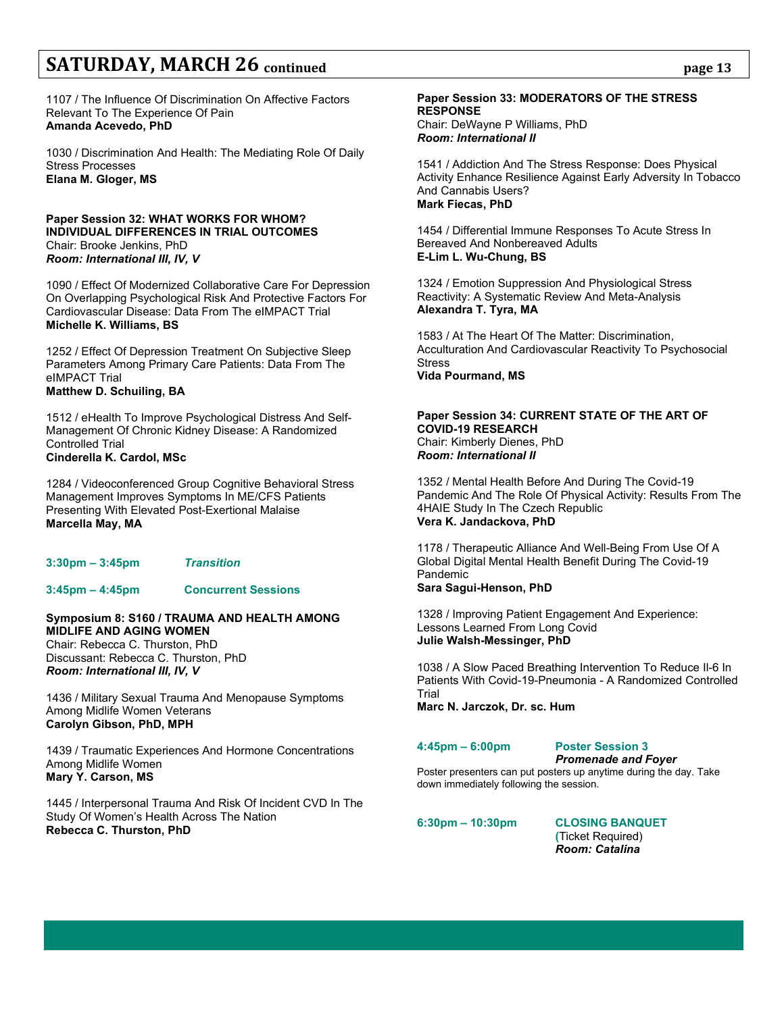1107 / The Influence Of Discrimination On Affective Factors Relevant To The Experience Of Pain **Amanda Acevedo, PhD**

1030 / Discrimination And Health: The Mediating Role Of Daily Stress Processes **Elana M. Gloger, MS**

#### **Paper Session 32: WHAT WORKS FOR WHOM? INDIVIDUAL DIFFERENCES IN TRIAL OUTCOMES** Chair: Brooke Jenkins, PhD *Room: International III, IV, V*

1090 / Effect Of Modernized Collaborative Care For Depression On Overlapping Psychological Risk And Protective Factors For Cardiovascular Disease: Data From The eIMPACT Trial **Michelle K. Williams, BS**

1252 / Effect Of Depression Treatment On Subjective Sleep Parameters Among Primary Care Patients: Data From The eIMPACT Trial **Matthew D. Schuiling, BA**

1512 / eHealth To Improve Psychological Distress And Self-Management Of Chronic Kidney Disease: A Randomized Controlled Trial **Cinderella K. Cardol, MSc**

1284 / Videoconferenced Group Cognitive Behavioral Stress Management Improves Symptoms In ME/CFS Patients Presenting With Elevated Post-Exertional Malaise **Marcella May, MA**

| <b>Transition</b><br>3:30pm – 3:45pm |
|--------------------------------------|
|--------------------------------------|

## **3:45pm – 4:45pm Concurrent Sessions**

### **Symposium 8: S160 / TRAUMA AND HEALTH AMONG MIDLIFE AND AGING WOMEN**

Chair: Rebecca C. Thurston, PhD Discussant: Rebecca C. Thurston, PhD *Room: International III, IV, V*

1436 / Military Sexual Trauma And Menopause Symptoms Among Midlife Women Veterans **Carolyn Gibson, PhD, MPH**

1439 / Traumatic Experiences And Hormone Concentrations Among Midlife Women **Mary Y. Carson, MS**

1445 / Interpersonal Trauma And Risk Of Incident CVD In The Study Of Women's Health Across The Nation **Rebecca C. Thurston, PhD**

### **Paper Session 33: MODERATORS OF THE STRESS RESPONSE**

Chair: DeWayne P Williams, PhD *Room: International II*

1541 / Addiction And The Stress Response: Does Physical Activity Enhance Resilience Against Early Adversity In Tobacco And Cannabis Users? **Mark Fiecas, PhD**

1454 / Differential Immune Responses To Acute Stress In Bereaved And Nonbereaved Adults **E-Lim L. Wu-Chung, BS**

1324 / Emotion Suppression And Physiological Stress Reactivity: A Systematic Review And Meta-Analysis **Alexandra T. Tyra, MA**

1583 / At The Heart Of The Matter: Discrimination, Acculturation And Cardiovascular Reactivity To Psychosocial **Stress Vida Pourmand, MS**

#### **Paper Session 34: CURRENT STATE OF THE ART OF COVID-19 RESEARCH** Chair: Kimberly Dienes, PhD *Room: International II*

1352 / Mental Health Before And During The Covid-19 Pandemic And The Role Of Physical Activity: Results From The 4HAIE Study In The Czech Republic **Vera K. Jandackova, PhD**

1178 / Therapeutic Alliance And Well-Being From Use Of A Global Digital Mental Health Benefit During The Covid-19 Pandemic **Sara Sagui-Henson, PhD**

1328 / Improving Patient Engagement And Experience: Lessons Learned From Long Covid **Julie Walsh-Messinger, PhD**

1038 / A Slow Paced Breathing Intervention To Reduce Il-6 In Patients With Covid-19-Pneumonia - A Randomized Controlled Trial

**Marc N. Jarczok, Dr. sc. Hum**

**4:45pm – 6:00pm Poster Session 3**

*Promenade and Foyer*

Poster presenters can put posters up anytime during the day. Take down immediately following the session.

**6:30pm – 10:30pm CLOSING BANQUET**

**(**Ticket Required) *Room: Catalina*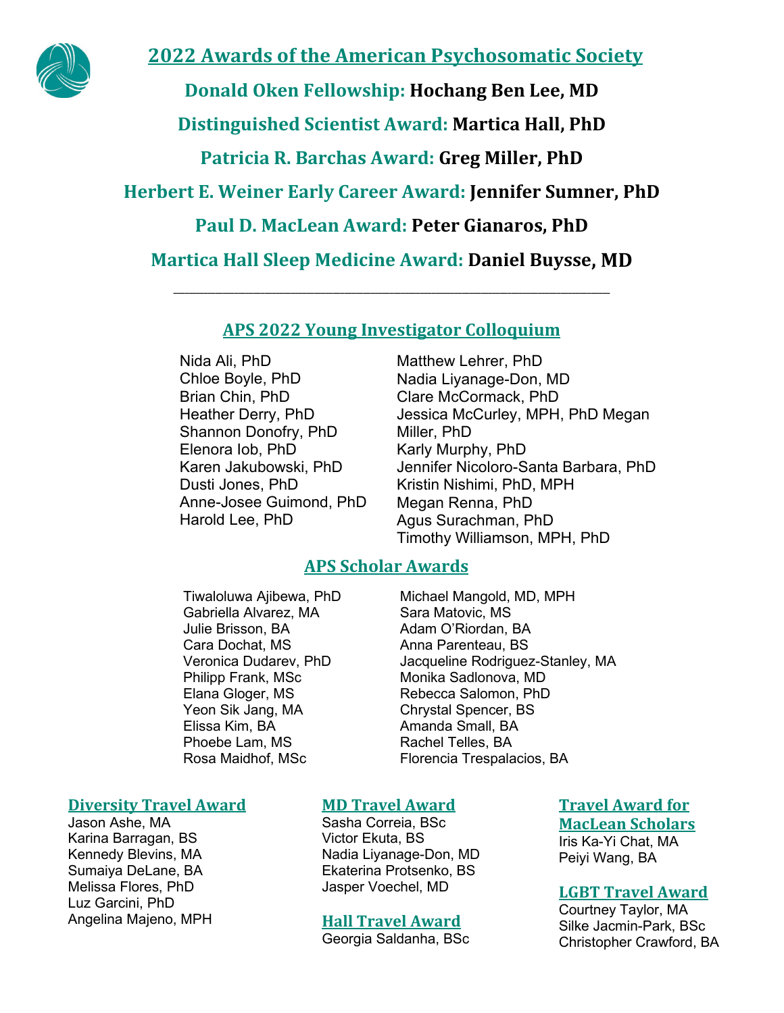

# **2022 Awards of the American Psychosomatic Society**

**Donald Oken Fellowship: Hochang Ben Lee, MD**

**Distinguished Scientist Award: Martica Hall, PhD**

**Patricia R. Barchas Award: Greg Miller, PhD**

**Herbert E. Weiner Early Career Award: Jennifer Sumner, PhD**

**Paul D. MacLean Award: Peter Gianaros, PhD**

**Martica Hall Sleep Medicine Award: Daniel Buysse, MD** 

**\_\_\_\_\_\_\_\_\_\_\_\_\_\_\_\_\_\_\_\_\_\_\_\_\_\_\_\_\_\_\_\_\_\_\_\_\_\_\_\_\_\_\_\_\_\_\_\_\_\_\_\_\_\_\_\_\_\_\_\_\_\_\_\_\_\_\_\_\_\_\_\_\_\_\_\_\_\_\_\_\_\_\_\_\_\_\_\_\_\_\_\_\_\_\_\_\_\_\_\_\_\_\_\_\_\_\_\_\_\_\_\_\_\_\_**

# **APS 2022 Young Investigator Colloquium**

Nida Ali, PhD Chloe Boyle, PhD Brian Chin, PhD Heather Derry, PhD Shannon Donofry, PhD Elenora Iob, PhD Karen Jakubowski, PhD Dusti Jones, PhD Anne-Josee Guimond, PhD Harold Lee, PhD

Matthew Lehrer, PhD Nadia Liyanage-Don, MD Clare McCormack, PhD Jessica McCurley, MPH, PhD Megan Miller, PhD Karly Murphy, PhD Jennifer Nicoloro-Santa Barbara, PhD Kristin Nishimi, PhD, MPH Megan Renna, PhD Agus Surachman, PhD Timothy Williamson, MPH, PhD

# **APS Scholar Awards**

Tiwaloluwa Ajibewa, PhD Gabriella Alvarez, MA Julie Brisson, BA Cara Dochat, MS Veronica Dudarev, PhD Philipp Frank, MSc Elana Gloger, MS Yeon Sik Jang, MA Elissa Kim, BA Phoebe Lam, MS Rosa Maidhof, MSc

# **Diversity Travel Award**

Jason Ashe, MA Karina Barragan, BS Kennedy Blevins, MA Sumaiya DeLane, BA Melissa Flores, PhD Luz Garcini, PhD Angelina Majeno, MPH Michael Mangold, MD, MPH Sara Matovic, MS Adam O'Riordan, BA Anna Parenteau, BS Jacqueline Rodriguez-Stanley, MA Monika Sadlonova, MD Rebecca Salomon, PhD Chrystal Spencer, BS Amanda Small, BA Rachel Telles, BA Florencia Trespalacios, BA

# **MD Travel Award**

Sasha Correia, BSc Victor Ekuta, BS Nadia Liyanage-Don, MD Ekaterina Protsenko, BS Jasper Voechel, MD

## **Hall Travel Award**

Georgia Saldanha, BSc

**Travel Award for MacLean Scholars**

Iris Ka-Yi Chat, MA Peiyi Wang, BA

## **LGBT Travel Award**

Courtney Taylor, MA Silke Jacmin-Park, BSc Christopher Crawford, BA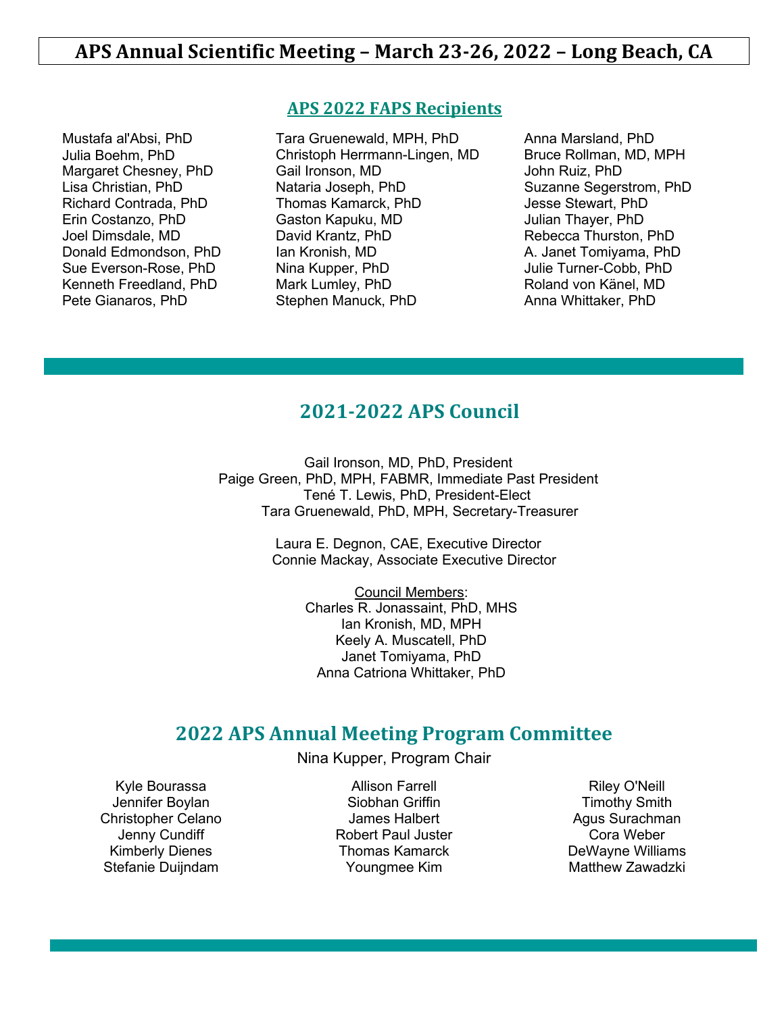Mustafa al'Absi, PhD Julia Boehm, PhD Margaret Chesney, PhD Lisa Christian, PhD Richard Contrada, PhD Erin Costanzo, PhD Joel Dimsdale, MD Donald Edmondson, PhD Sue Everson-Rose, PhD Kenneth Freedland, PhD Pete Gianaros, PhD

## **APS 2022 FAPS Recipients**

Tara Gruenewald, MPH, PhD Christoph Herrmann-Lingen, MD Gail Ironson, MD Nataria Joseph, PhD Thomas Kamarck, PhD Gaston Kapuku, MD David Krantz, PhD Ian Kronish, MD Nina Kupper, PhD Mark Lumley, PhD Stephen Manuck, PhD

Anna Marsland, PhD Bruce Rollman, MD, MPH John Ruiz, PhD Suzanne Segerstrom, PhD Jesse Stewart, PhD Julian Thayer, PhD Rebecca Thurston, PhD A. Janet Tomiyama, PhD Julie Turner-Cobb, PhD Roland von Känel, MD Anna Whittaker, PhD

# **2021-2022 APS Council**

Gail Ironson, MD, PhD, President Paige Green, PhD, MPH, FABMR, Immediate Past President Tené T. Lewis, PhD, President-Elect Tara Gruenewald, PhD, MPH, Secretary-Treasurer

> Laura E. Degnon, CAE, Executive Director Connie Mackay, Associate Executive Director

> > Council Members: Charles R. Jonassaint, PhD, MHS Ian Kronish, MD, MPH Keely A. Muscatell, PhD Janet Tomiyama, PhD Anna Catriona Whittaker, PhD

# **2022 APS Annual Meeting Program Committee**

Nina Kupper, Program Chair

Kyle Bourassa Jennifer Boylan Christopher Celano Jenny Cundiff Kimberly Dienes Stefanie Duijndam

Allison Farrell Siobhan Griffin James Halbert Robert Paul Juster Thomas Kamarck Youngmee Kim

Riley O'Neill Timothy Smith Agus Surachman Cora Weber DeWayne Williams Matthew Zawadzki